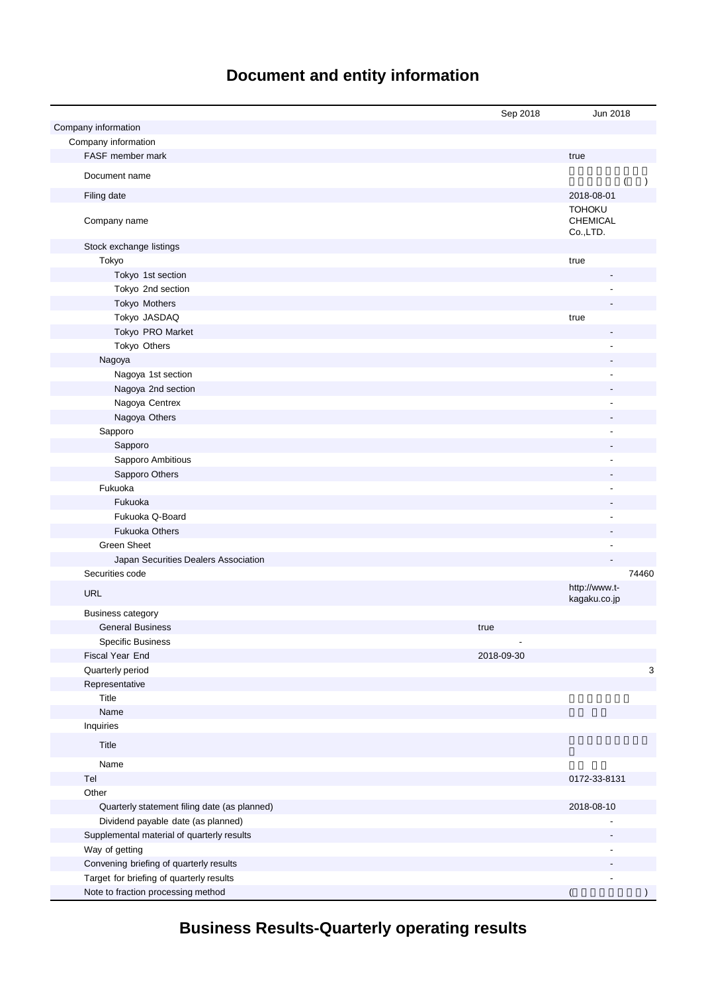# **Document and entity information**

|                                              | Sep 2018   | Jun 2018                                     |
|----------------------------------------------|------------|----------------------------------------------|
| Company information                          |            |                                              |
| Company information                          |            |                                              |
| FASF member mark                             |            | true                                         |
| Document name                                |            | $\lambda$                                    |
| Filing date                                  |            | 2018-08-01                                   |
| Company name                                 |            | <b>TOHOKU</b><br><b>CHEMICAL</b><br>Co.,LTD. |
| Stock exchange listings                      |            |                                              |
| Tokyo                                        |            | true                                         |
| Tokyo 1st section                            |            |                                              |
| Tokyo 2nd section                            |            |                                              |
| Tokyo Mothers                                |            |                                              |
| Tokyo JASDAQ                                 |            | true                                         |
| Tokyo PRO Market                             |            |                                              |
| Tokyo Others                                 |            |                                              |
| Nagoya                                       |            |                                              |
| Nagoya 1st section                           |            |                                              |
| Nagoya 2nd section                           |            |                                              |
| Nagoya Centrex                               |            |                                              |
| Nagoya Others                                |            |                                              |
| Sapporo                                      |            |                                              |
| Sapporo                                      |            |                                              |
| Sapporo Ambitious                            |            |                                              |
| Sapporo Others                               |            |                                              |
| Fukuoka                                      |            |                                              |
| Fukuoka                                      |            |                                              |
| Fukuoka Q-Board                              |            |                                              |
| <b>Fukuoka Others</b>                        |            |                                              |
| <b>Green Sheet</b>                           |            | $\blacksquare$                               |
| Japan Securities Dealers Association         |            |                                              |
| Securities code                              |            | 74460                                        |
| <b>URL</b>                                   |            | http://www.t-<br>kagaku.co.jp                |
| <b>Business category</b>                     |            |                                              |
| <b>General Business</b>                      | true       |                                              |
| <b>Specific Business</b>                     |            |                                              |
| Fiscal Year End                              | 2018-09-30 |                                              |
| Quarterly period                             |            | 3                                            |
| Representative                               |            |                                              |
| Title                                        |            |                                              |
| Name                                         |            |                                              |
| Inquiries                                    |            |                                              |
| Title                                        |            |                                              |
| Name                                         |            |                                              |
| Tel                                          |            | 0172-33-8131                                 |
| Other                                        |            |                                              |
| Quarterly statement filing date (as planned) |            | 2018-08-10                                   |
| Dividend payable date (as planned)           |            |                                              |
| Supplemental material of quarterly results   |            |                                              |
| Way of getting                               |            |                                              |
| Convening briefing of quarterly results      |            |                                              |
| Target for briefing of quarterly results     |            |                                              |
| Note to fraction processing method           |            |                                              |

**Business Results-Quarterly operating results**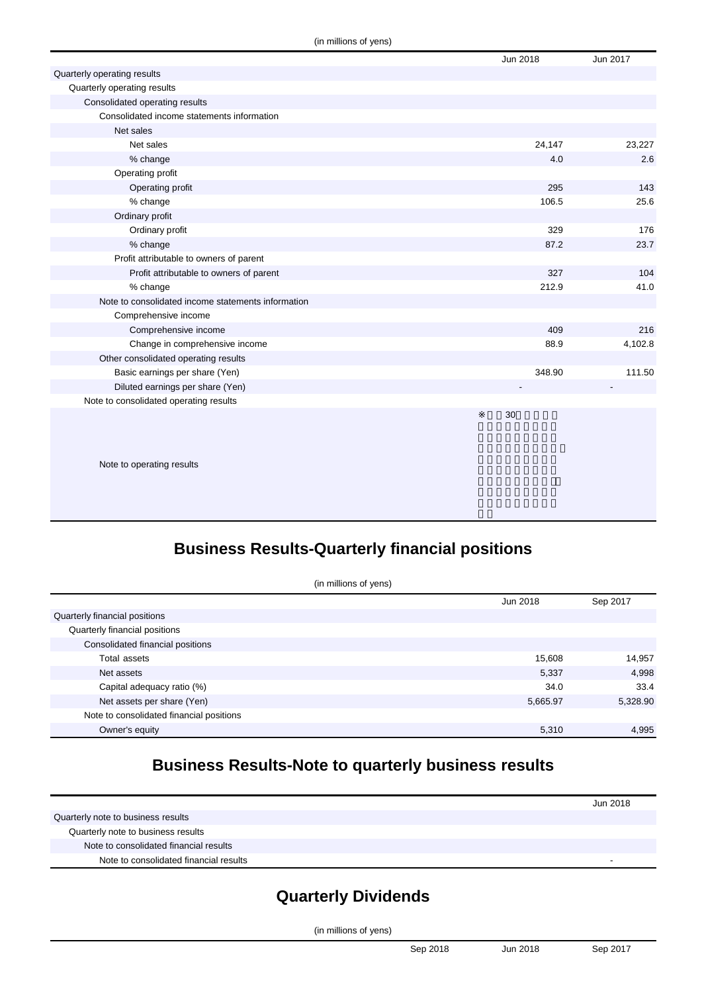|                                                    | Jun 2018 | Jun 2017 |
|----------------------------------------------------|----------|----------|
| Quarterly operating results                        |          |          |
| Quarterly operating results                        |          |          |
| Consolidated operating results                     |          |          |
| Consolidated income statements information         |          |          |
| Net sales                                          |          |          |
| Net sales                                          | 24,147   | 23,227   |
| % change                                           | 4.0      | 2.6      |
| Operating profit                                   |          |          |
| Operating profit                                   | 295      | 143      |
| % change                                           | 106.5    | 25.6     |
| Ordinary profit                                    |          |          |
| Ordinary profit                                    | 329      | 176      |
| % change                                           | 87.2     | 23.7     |
| Profit attributable to owners of parent            |          |          |
| Profit attributable to owners of parent            | 327      | 104      |
| % change                                           | 212.9    | 41.0     |
| Note to consolidated income statements information |          |          |
| Comprehensive income                               |          |          |
| Comprehensive income                               | 409      | 216      |
| Change in comprehensive income                     | 88.9     | 4,102.8  |
| Other consolidated operating results               |          |          |
| Basic earnings per share (Yen)                     | 348.90   | 111.50   |
| Diluted earnings per share (Yen)                   |          |          |
| Note to consolidated operating results             |          |          |
|                                                    | 30       |          |

Note to operating results

# **Business Results-Quarterly financial positions**

| (in millions of yens)                    |          |          |  |
|------------------------------------------|----------|----------|--|
|                                          | Jun 2018 | Sep 2017 |  |
| Quarterly financial positions            |          |          |  |
| Quarterly financial positions            |          |          |  |
| Consolidated financial positions         |          |          |  |
| Total assets                             | 15,608   | 14,957   |  |
| Net assets                               | 5,337    | 4,998    |  |
| Capital adequacy ratio (%)               | 34.0     | 33.4     |  |
| Net assets per share (Yen)               | 5,665.97 | 5,328.90 |  |
| Note to consolidated financial positions |          |          |  |
| Owner's equity                           | 5,310    | 4,995    |  |

# **Business Results-Note to quarterly business results**

|                                        | Jun 2018 |
|----------------------------------------|----------|
| Quarterly note to business results     |          |
| Quarterly note to business results     |          |
| Note to consolidated financial results |          |
| Note to consolidated financial results |          |

### **Quarterly Dividends**

(in millions of yens)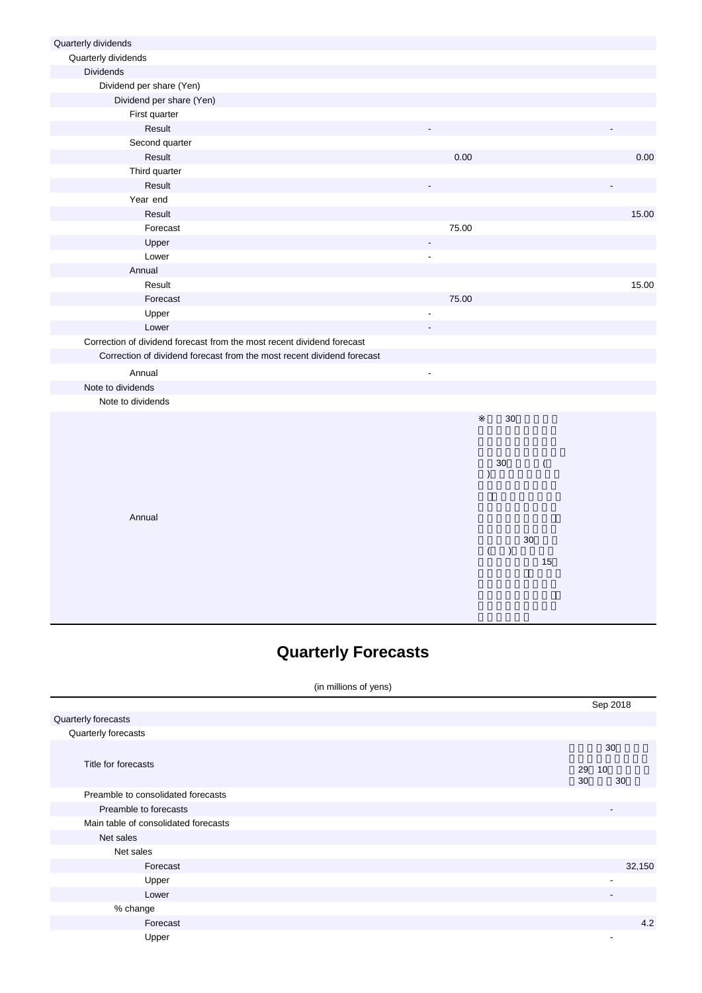| Quarterly dividends                                                    |                                   |       |
|------------------------------------------------------------------------|-----------------------------------|-------|
| Quarterly dividends                                                    |                                   |       |
| Dividends                                                              |                                   |       |
| Dividend per share (Yen)                                               |                                   |       |
| Dividend per share (Yen)                                               |                                   |       |
| First quarter                                                          |                                   |       |
| Result                                                                 |                                   |       |
| Second quarter                                                         |                                   |       |
| Result                                                                 | 0.00                              | 0.00  |
| Third quarter                                                          |                                   |       |
| Result                                                                 |                                   |       |
| Year end                                                               |                                   |       |
| Result                                                                 |                                   | 15.00 |
| Forecast                                                               | 75.00                             |       |
| Upper                                                                  |                                   |       |
| Lower                                                                  |                                   |       |
| Annual                                                                 |                                   |       |
| Result                                                                 |                                   | 15.00 |
| Forecast                                                               | 75.00                             |       |
| Upper                                                                  |                                   |       |
| Lower                                                                  |                                   |       |
| Correction of dividend forecast from the most recent dividend forecast |                                   |       |
| Correction of dividend forecast from the most recent dividend forecast |                                   |       |
| Annual                                                                 | $\overline{a}$                    |       |
| Note to dividends                                                      |                                   |       |
| Note to dividends                                                      |                                   |       |
|                                                                        | 30                                |       |
|                                                                        |                                   |       |
|                                                                        |                                   |       |
|                                                                        | $30\,$<br>$\overline{(}$          |       |
|                                                                        | $\mathcal{E}$                     |       |
|                                                                        |                                   |       |
|                                                                        |                                   |       |
| Annual                                                                 |                                   |       |
|                                                                        | 30                                |       |
|                                                                        | $\overline{(\ }$<br>$\rightarrow$ |       |
|                                                                        | 15                                |       |
|                                                                        |                                   |       |
|                                                                        |                                   |       |

# **Quarterly Forecasts**

#### (in millions of yens)

|                                      | Sep 2018                   |
|--------------------------------------|----------------------------|
| Quarterly forecasts                  |                            |
| Quarterly forecasts                  |                            |
| Title for forecasts                  | 30<br>29<br>10<br>30<br>30 |
| Preamble to consolidated forecasts   |                            |
| Preamble to forecasts                | $\overline{\phantom{a}}$   |
| Main table of consolidated forecasts |                            |
| Net sales                            |                            |
| Net sales                            |                            |
| Forecast                             | 32,150                     |
| Upper                                | $\overline{\phantom{a}}$   |
| Lower                                | $\overline{\phantom{a}}$   |
| % change                             |                            |
| Forecast                             | 4.2                        |
| Upper                                | $\overline{\phantom{a}}$   |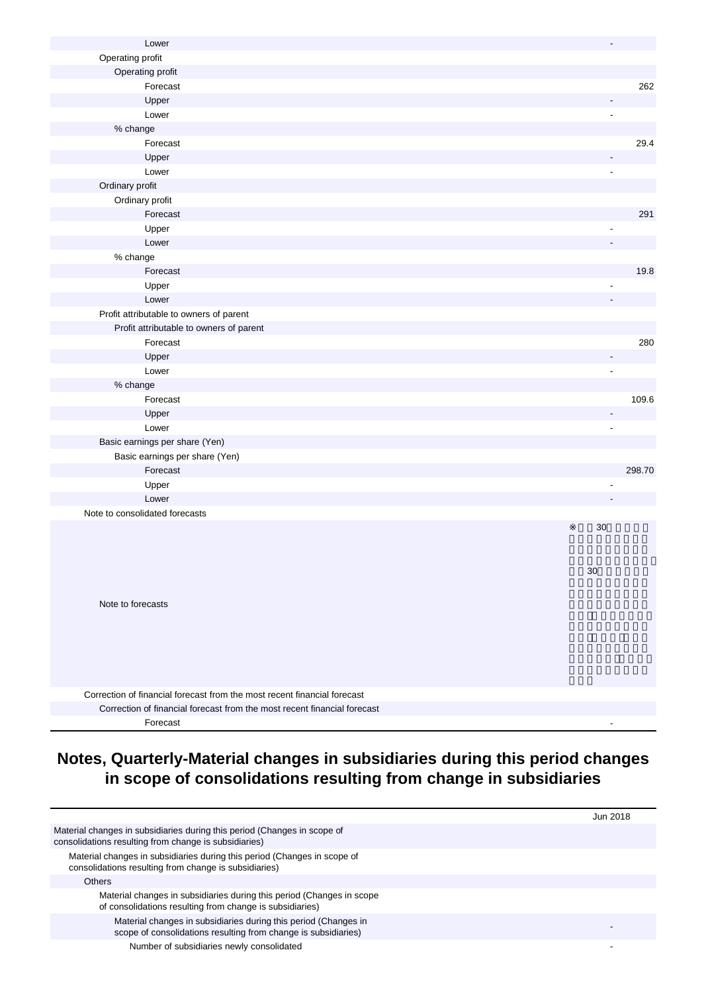| Lower                                                                    |    |        |
|--------------------------------------------------------------------------|----|--------|
| Operating profit                                                         |    |        |
| Operating profit                                                         |    |        |
| Forecast                                                                 |    | 262    |
| Upper                                                                    |    |        |
| Lower                                                                    | ÷, |        |
| % change                                                                 |    |        |
| Forecast                                                                 |    | 29.4   |
| Upper                                                                    |    |        |
| Lower                                                                    |    |        |
| Ordinary profit                                                          |    |        |
| Ordinary profit                                                          |    |        |
| Forecast                                                                 |    | 291    |
| Upper                                                                    |    |        |
| Lower                                                                    |    |        |
| % change                                                                 |    |        |
| Forecast                                                                 |    | 19.8   |
| Upper                                                                    |    |        |
| Lower                                                                    |    |        |
| Profit attributable to owners of parent                                  |    |        |
| Profit attributable to owners of parent                                  |    |        |
| Forecast                                                                 |    | 280    |
| Upper                                                                    |    |        |
| Lower                                                                    |    |        |
| % change                                                                 |    |        |
| Forecast                                                                 |    | 109.6  |
| Upper                                                                    |    |        |
| Lower                                                                    |    |        |
| Basic earnings per share (Yen)                                           |    |        |
| Basic earnings per share (Yen)                                           |    |        |
| Forecast                                                                 |    | 298.70 |
| Upper                                                                    |    |        |
| Lower                                                                    |    |        |
| Note to consolidated forecasts                                           |    |        |
|                                                                          | 30 |        |
|                                                                          | 30 |        |
| Note to forecasts                                                        |    |        |
| Correction of financial forecast from the most recent financial forecast |    |        |
| Correction of financial forecast from the most recent financial forecast |    |        |
| Forecast                                                                 |    |        |

### **Notes, Quarterly-Material changes in subsidiaries during this period changes in scope of consolidations resulting from change in subsidiaries**

|                                                                                                                                   | Jun 2018 |
|-----------------------------------------------------------------------------------------------------------------------------------|----------|
| Material changes in subsidiaries during this period (Changes in scope of<br>consolidations resulting from change is subsidiaries) |          |
| Material changes in subsidiaries during this period (Changes in scope of<br>consolidations resulting from change is subsidiaries) |          |
| <b>Others</b>                                                                                                                     |          |
| Material changes in subsidiaries during this period (Changes in scope<br>of consolidations resulting from change is subsidiaries) |          |
| Material changes in subsidiaries during this period (Changes in<br>scope of consolidations resulting from change is subsidiaries) |          |
| Number of subsidiaries newly consolidated                                                                                         |          |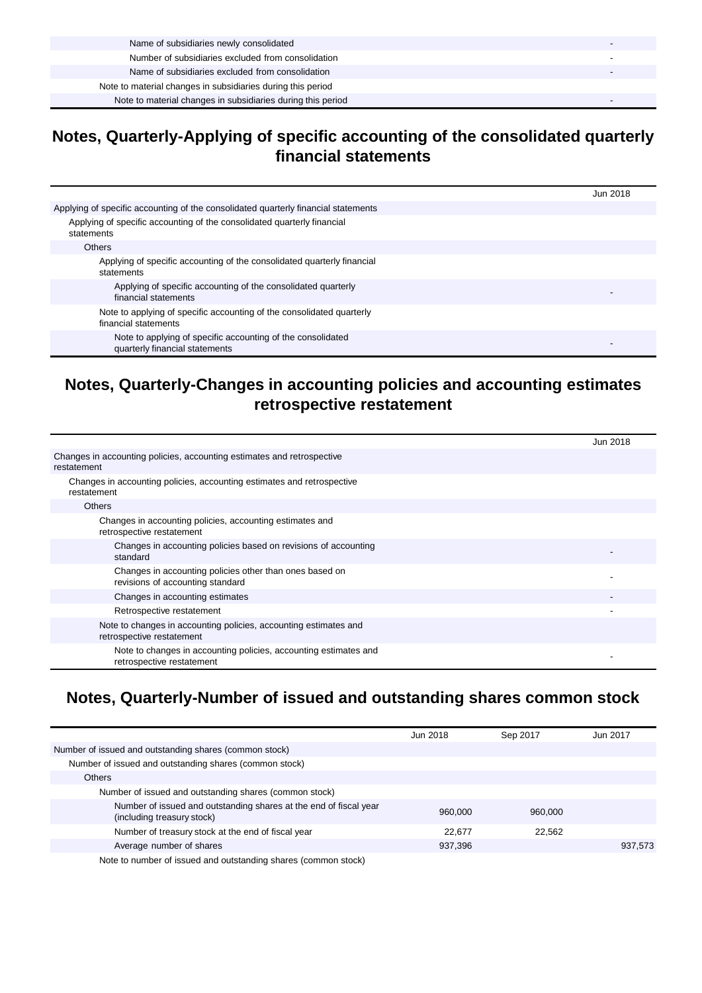| Name of subsidiaries newly consolidated                     |  |
|-------------------------------------------------------------|--|
| Number of subsidiaries excluded from consolidation          |  |
| Name of subsidiaries excluded from consolidation            |  |
| Note to material changes in subsidiaries during this period |  |
| Note to material changes in subsidiaries during this period |  |

### **Notes, Quarterly-Applying of specific accounting of the consolidated quarterly financial statements**

|                                                                                               | Jun 2018 |
|-----------------------------------------------------------------------------------------------|----------|
| Applying of specific accounting of the consolidated quarterly financial statements            |          |
| Applying of specific accounting of the consolidated quarterly financial<br>statements         |          |
| <b>Others</b>                                                                                 |          |
| Applying of specific accounting of the consolidated quarterly financial<br>statements         |          |
| Applying of specific accounting of the consolidated quarterly<br>financial statements         |          |
| Note to applying of specific accounting of the consolidated quarterly<br>financial statements |          |
| Note to applying of specific accounting of the consolidated<br>quarterly financial statements |          |

### **Notes, Quarterly-Changes in accounting policies and accounting estimates retrospective restatement**

|                                                                                               | Jun 2018 |
|-----------------------------------------------------------------------------------------------|----------|
| Changes in accounting policies, accounting estimates and retrospective<br>restatement         |          |
| Changes in accounting policies, accounting estimates and retrospective<br>restatement         |          |
| <b>Others</b>                                                                                 |          |
| Changes in accounting policies, accounting estimates and<br>retrospective restatement         |          |
| Changes in accounting policies based on revisions of accounting<br>standard                   |          |
| Changes in accounting policies other than ones based on<br>revisions of accounting standard   |          |
| Changes in accounting estimates                                                               |          |
| Retrospective restatement                                                                     |          |
| Note to changes in accounting policies, accounting estimates and<br>retrospective restatement |          |
| Note to changes in accounting policies, accounting estimates and<br>retrospective restatement |          |

# **Notes, Quarterly-Number of issued and outstanding shares common stock**

|                                                                                                 | Jun 2018 | Sep 2017 | Jun 2017 |
|-------------------------------------------------------------------------------------------------|----------|----------|----------|
| Number of issued and outstanding shares (common stock)                                          |          |          |          |
| Number of issued and outstanding shares (common stock)                                          |          |          |          |
| <b>Others</b>                                                                                   |          |          |          |
| Number of issued and outstanding shares (common stock)                                          |          |          |          |
| Number of issued and outstanding shares at the end of fiscal year<br>(including treasury stock) | 960,000  | 960.000  |          |
| Number of treasury stock at the end of fiscal year                                              | 22,677   | 22,562   |          |
| Average number of shares                                                                        | 937,396  |          | 937.573  |
| Note to number of issued and outstanding shares (common stock)                                  |          |          |          |